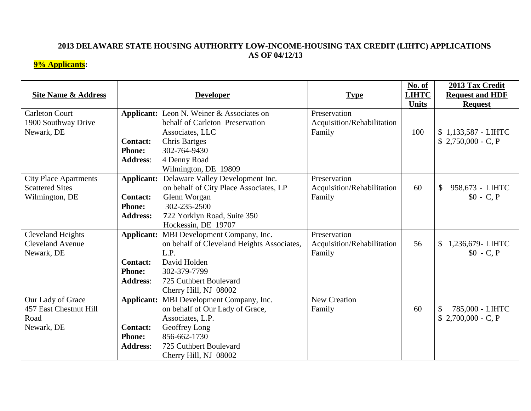## **2013 DELAWARE STATE HOUSING AUTHORITY LOW-INCOME-HOUSING TAX CREDIT (LIHTC) APPLICATIONS AS OF 04/12/13**

## **9% Applicants:**

| <b>Site Name &amp; Address</b> |                 | <b>Developer</b>                                   | <b>Type</b>                | No. of<br><b>LIHTC</b><br><b>Units</b> | 2013 Tax Credit<br><b>Request and HDF</b><br><b>Request</b> |
|--------------------------------|-----------------|----------------------------------------------------|----------------------------|----------------------------------------|-------------------------------------------------------------|
| <b>Carleton Court</b>          |                 | <b>Applicant:</b> Leon N. Weiner & Associates on   | Preservation               |                                        |                                                             |
| 1900 Southway Drive            |                 | behalf of Carleton Preservation                    | Acquisition/Rehabilitation |                                        |                                                             |
| Newark, DE                     |                 | Associates, LLC                                    | Family                     | 100                                    | \$1,133,587 - LIHTC                                         |
|                                | <b>Contact:</b> | <b>Chris Bartges</b>                               |                            |                                        | $$2,750,000 - C, P$                                         |
|                                | <b>Phone:</b>   | 302-764-9430                                       |                            |                                        |                                                             |
|                                | <b>Address:</b> | 4 Denny Road                                       |                            |                                        |                                                             |
|                                |                 | Wilmington, DE 19809                               |                            |                                        |                                                             |
| <b>City Place Apartments</b>   |                 | <b>Applicant:</b> Delaware Valley Development Inc. | Preservation               |                                        |                                                             |
| <b>Scattered Sites</b>         |                 | on behalf of City Place Associates, LP             | Acquisition/Rehabilitation | 60                                     | $\mathbb{S}$<br>958,673 - LIHTC                             |
| Wilmington, DE                 | <b>Contact:</b> | Glenn Worgan                                       | Family                     |                                        | $$0 - C, P$                                                 |
|                                | <b>Phone:</b>   | 302-235-2500                                       |                            |                                        |                                                             |
|                                | <b>Address:</b> | 722 Yorklyn Road, Suite 350                        |                            |                                        |                                                             |
|                                |                 | Hockessin, DE 19707                                |                            |                                        |                                                             |
| <b>Cleveland Heights</b>       |                 | Applicant: MBI Development Company, Inc.           | Preservation               |                                        |                                                             |
| <b>Cleveland Avenue</b>        |                 | on behalf of Cleveland Heights Associates,         | Acquisition/Rehabilitation | 56                                     | 1,236,679-LIHTC<br>\$                                       |
| Newark, DE                     |                 | L.P.                                               | Family                     |                                        | $$0 - C, P$                                                 |
|                                | <b>Contact:</b> | David Holden                                       |                            |                                        |                                                             |
|                                | <b>Phone:</b>   | 302-379-7799                                       |                            |                                        |                                                             |
|                                | <b>Address:</b> | 725 Cuthbert Boulevard                             |                            |                                        |                                                             |
|                                |                 | Cherry Hill, NJ 08002                              |                            |                                        |                                                             |
| Our Lady of Grace              |                 | Applicant: MBI Development Company, Inc.           | <b>New Creation</b>        |                                        |                                                             |
| 457 East Chestnut Hill         |                 | on behalf of Our Lady of Grace,                    | Family                     | 60                                     | 785,000 - LIHTC                                             |
| Road                           |                 | Associates, L.P.                                   |                            |                                        | $$2,700,000 - C, P$                                         |
| Newark, DE                     | <b>Contact:</b> | Geoffrey Long                                      |                            |                                        |                                                             |
|                                | <b>Phone:</b>   | 856-662-1730                                       |                            |                                        |                                                             |
|                                | <b>Address:</b> | 725 Cuthbert Boulevard                             |                            |                                        |                                                             |
|                                |                 | Cherry Hill, NJ 08002                              |                            |                                        |                                                             |